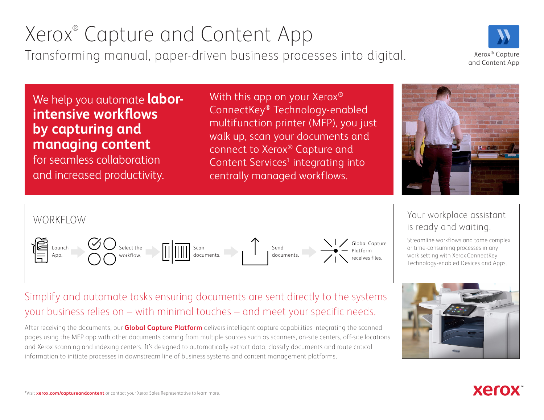# Xerox® Capture and Content App

Transforming manual, paper-driven business processes into digital. Xerox® Capture

and Content App

## We help you automate **laborintensive workflows by capturing and managing content**

for seamless collaboration and increased productivity. With this app on your Xerox<sup>®</sup> ConnectKey® Technology-enabled multifunction printer (MFP), you just walk up, scan your documents and connect to Xerox® Capture and Content Services<sup>1</sup> integrating into centrally managed workflows.





### Your workplace assistant is ready and waiting.

Streamline workflows and tame complex or time-consuming processes in any work setting with Xerox ConnectKey Technology-enabled Devices and Apps.



**Xero** 

## Simplify and automate tasks ensuring documents are sent directly to the systems your business relies on – with minimal touches – and meet your specific needs.

After receiving the documents, our **[Global Capture Platform](https://www.xerox.com/downloads/dl/usa/en/services/brief/Xerox-Global-Capture-Platform-Capability-Brief-ENUS.pdf)** delivers intelligent capture capabilities integrating the scanned pages using the MFP app with other documents coming from multiple sources such as scanners, on-site centers, off-site locations and Xerox scanning and indexing centers. It's designed to automatically extract data, classify documents and route critical information to initiate processes in downstream line of business systems and content management platforms.